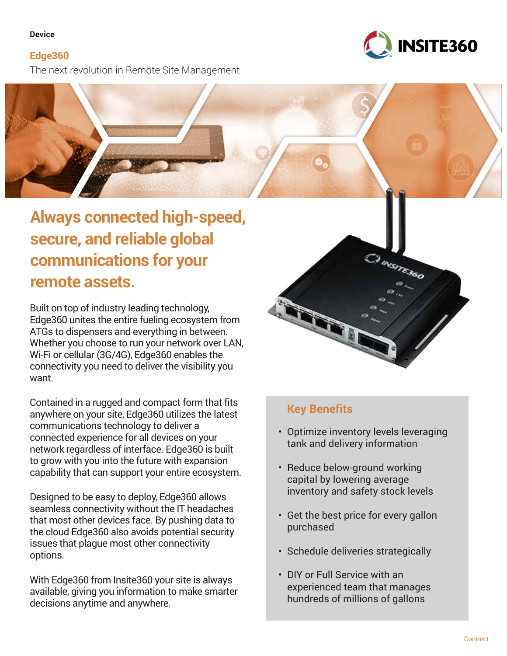# **Device**

**Edge360** The next revolution in Remote Site Management





Built on top of industry leading technology, Edge360 unites the entire fueling ecosystem from ATGs to dispensers and everything in between. Whether you choose to run your network over LAN, Wi-Fi or cellular (3G/4G), Edge360 enables the connectivity you need to deliver the visibility you want.

Contained in a rugged and compact form that fits anywhere on your site, Edge360 utilizes the latest communications technology to deliver a connected experience for all devices on your network regardless of interface. Edge360 is built to grow with you into the future with expansion capability that can support your entire ecosystem.

Designed to be easy to deploy, Edge360 allows seamless connectivity without the IT headaches that most other devices face. By pushing data to the cloud Edge360 also avoids potential security issues that plague most other connectivity options.

With Edge360 from Insite360 your site is always available, giving you information to make smarter decisions anytime and anywhere.



# **Key Benefits**

- Optimize inventory levels leveraging tank and delivery information
- Reduce below-ground working capital by lowering average inventory and safety stock levels
- Get the best price for every gallon purchased
- Schedule deliveries strategically
- DIY or Full Service with an experienced team that manages hundreds of millions of gallons